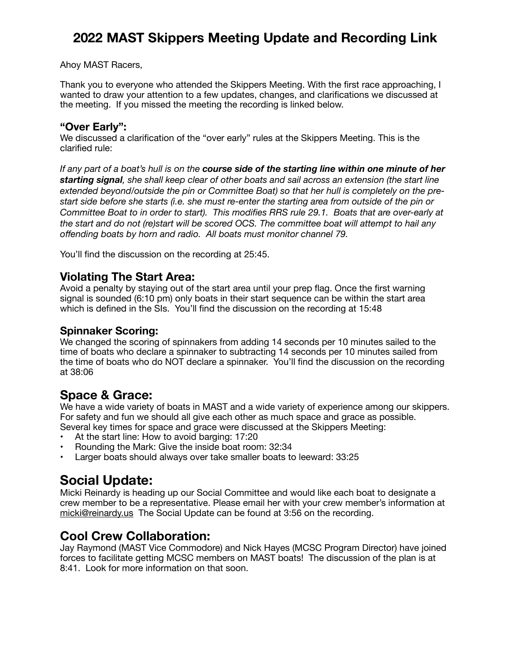# **2022 MAST Skippers Meeting Update and Recording Link**

#### Ahoy MAST Racers,

Thank you to everyone who attended the Skippers Meeting. With the first race approaching, I wanted to draw your attention to a few updates, changes, and clarifications we discussed at the meeting. If you missed the meeting the recording is linked below.

#### **"Over Early":**

We discussed a clarification of the "over early" rules at the Skippers Meeting. This is the clarified rule:

*If any part of a boat's hull is on the course side of the starting line within one minute of her starting signal, she shall keep clear of other boats and sail across an extension (the start line extended beyond/outside the pin or Committee Boat) so that her hull is completely on the prestart side before she starts (i.e. she must re-enter the starting area from outside of the pin or Committee Boat to in order to start). This modifies RRS rule 29.1. Boats that are over-early at the start and do not (re)start will be scored OCS. The committee boat will attempt to hail any offending boats by horn and radio. All boats must monitor channel 79.* 

You'll find the discussion on the recording at 25:45.

#### **Violating The Start Area:**

Avoid a penalty by staying out of the start area until your prep flag. Once the first warning signal is sounded (6:10 pm) only boats in their start sequence can be within the start area which is defined in the SIs. You'll find the discussion on the recording at 15:48

#### **Spinnaker Scoring:**

We changed the scoring of spinnakers from adding 14 seconds per 10 minutes sailed to the time of boats who declare a spinnaker to subtracting 14 seconds per 10 minutes sailed from the time of boats who do NOT declare a spinnaker. You'll find the discussion on the recording at 38:06

## **Space & Grace:**

We have a wide variety of boats in MAST and a wide variety of experience among our skippers. For safety and fun we should all give each other as much space and grace as possible. Several key times for space and grace were discussed at the Skippers Meeting:

- At the start line: How to avoid barging: 17:20
- Rounding the Mark: Give the inside boat room: 32:34
- Larger boats should always over take smaller boats to leeward: 33:25

## **Social Update:**

Micki Reinardy is heading up our Social Committee and would like each boat to designate a crew member to be a representative. Please email her with your crew member's information at [micki@reinardy.us](mailto:micki@reinardy.us) The Social Update can be found at 3:56 on the recording.

## **Cool Crew Collaboration:**

Jay Raymond (MAST Vice Commodore) and Nick Hayes (MCSC Program Director) have joined forces to facilitate getting MCSC members on MAST boats! The discussion of the plan is at 8:41. Look for more information on that soon.